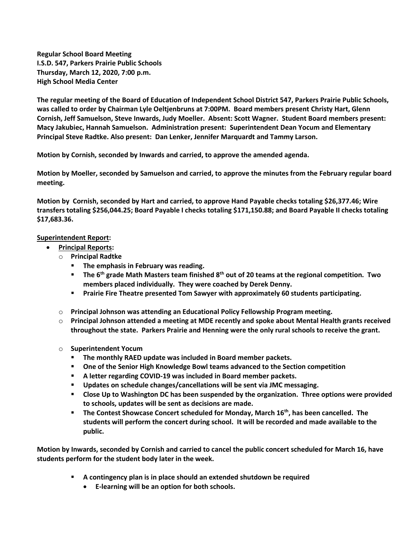**Regular School Board Meeting I.S.D. 547, Parkers Prairie Public Schools Thursday, March 12, 2020, 7:00 p.m. High School Media Center**

**The regular meeting of the Board of Education of Independent School District 547, Parkers Prairie Public Schools, was called to order by Chairman Lyle Oeltjenbruns at 7:00PM. Board members present Christy Hart, Glenn Cornish, Jeff Samuelson, Steve Inwards, Judy Moeller. Absent: Scott Wagner. Student Board members present: Macy Jakubiec, Hannah Samuelson. Administration present: Superintendent Dean Yocum and Elementary Principal Steve Radtke. Also present: Dan Lenker, Jennifer Marquardt and Tammy Larson.**

**Motion by Cornish, seconded by Inwards and carried, to approve the amended agenda.**

**Motion by Moeller, seconded by Samuelson and carried, to approve the minutes from the February regular board meeting.**

**Motion by Cornish, seconded by Hart and carried, to approve Hand Payable checks totaling \$26,377.46; Wire transfers totaling \$256,044.25; Board Payable I checks totaling \$171,150.88; and Board Payable II checks totaling \$17,683.36.**

## **Superintendent Report:**

- **Principal Reports:** 
	- o **Principal Radtke**
		- **The emphasis in February was reading.**
		- **The 6th grade Math Masters team finished 8th out of 20 teams at the regional competition. Two members placed individually. They were coached by Derek Denny.**
		- **Prairie Fire Theatre presented Tom Sawyer with approximately 60 students participating.**
	- o **Principal Johnson was attending an Educational Policy Fellowship Program meeting.**
	- o **Principal Johnson attended a meeting at MDE recently and spoke about Mental Health grants received throughout the state. Parkers Prairie and Henning were the only rural schools to receive the grant.**
	- o **Superintendent Yocum**
		- **The monthly RAED update was included in Board member packets.**
		- **One of the Senior High Knowledge Bowl teams advanced to the Section competition**
		- **A letter regarding COVID-19 was included in Board member packets.**
		- **Updates on schedule changes/cancellations will be sent via JMC messaging.**
		- **Close Up to Washington DC has been suspended by the organization. Three options were provided to schools, updates will be sent as decisions are made.**
		- **The Contest Showcase Concert scheduled for Monday, March 16th, has been cancelled. The students will perform the concert during school. It will be recorded and made available to the public.**

**Motion by Inwards, seconded by Cornish and carried to cancel the public concert scheduled for March 16, have students perform for the student body later in the week.**

- **A contingency plan is in place should an extended shutdown be required**
	- **E-learning will be an option for both schools.**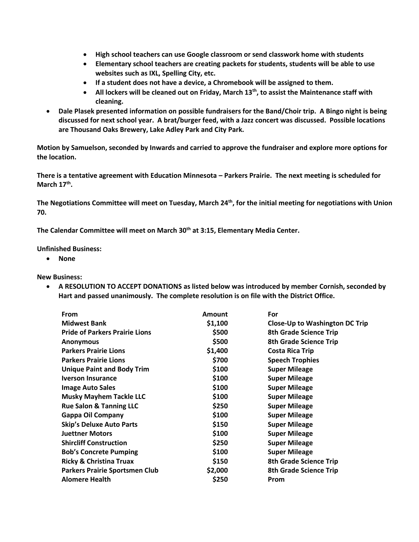- **High school teachers can use Google classroom or send classwork home with students**
- **Elementary school teachers are creating packets for students, students will be able to use websites such as IXL, Spelling City, etc.**
- **If a student does not have a device, a Chromebook will be assigned to them.**
- **All lockers will be cleaned out on Friday, March 13th, to assist the Maintenance staff with cleaning.**
- **Dale Plasek presented information on possible fundraisers for the Band/Choir trip. A Bingo night is being discussed for next school year. A brat/burger feed, with a Jazz concert was discussed. Possible locations are Thousand Oaks Brewery, Lake Adley Park and City Park.**

**Motion by Samuelson, seconded by Inwards and carried to approve the fundraiser and explore more options for the location.**

**There is a tentative agreement with Education Minnesota – Parkers Prairie. The next meeting is scheduled for March 17th .** 

**The Negotiations Committee will meet on Tuesday, March 24th, for the initial meeting for negotiations with Union 70.**

**The Calendar Committee will meet on March 30th at 3:15, Elementary Media Center.**

**Unfinished Business:**

**None**

**New Business:**

 **A RESOLUTION TO ACCEPT DONATIONS as listed below was introduced by member Cornish, seconded by Hart and passed unanimously. The complete resolution is on file with the District Office.** 

| From                                  | Amount  | For                                   |
|---------------------------------------|---------|---------------------------------------|
| <b>Midwest Bank</b>                   | \$1,100 | <b>Close-Up to Washington DC Trip</b> |
| <b>Pride of Parkers Prairie Lions</b> | \$500   | <b>8th Grade Science Trip</b>         |
| <b>Anonymous</b>                      | \$500   | <b>8th Grade Science Trip</b>         |
| <b>Parkers Prairie Lions</b>          | \$1,400 | <b>Costa Rica Trip</b>                |
| <b>Parkers Prairie Lions</b>          | \$700   | <b>Speech Trophies</b>                |
| <b>Unique Paint and Body Trim</b>     | \$100   | <b>Super Mileage</b>                  |
| <b>Iverson Insurance</b>              | \$100   | <b>Super Mileage</b>                  |
| <b>Image Auto Sales</b>               | \$100   | <b>Super Mileage</b>                  |
| <b>Musky Mayhem Tackle LLC</b>        | \$100   | <b>Super Mileage</b>                  |
| <b>Rue Salon &amp; Tanning LLC</b>    | \$250   | <b>Super Mileage</b>                  |
| <b>Gappa Oil Company</b>              | \$100   | <b>Super Mileage</b>                  |
| <b>Skip's Deluxe Auto Parts</b>       | \$150   | <b>Super Mileage</b>                  |
| <b>Juettner Motors</b>                | \$100   | <b>Super Mileage</b>                  |
| <b>Shircliff Construction</b>         | \$250   | <b>Super Mileage</b>                  |
| <b>Bob's Concrete Pumping</b>         | \$100   | <b>Super Mileage</b>                  |
| <b>Ricky &amp; Christina Truax</b>    | \$150   | <b>8th Grade Science Trip</b>         |
| <b>Parkers Prairie Sportsmen Club</b> | \$2,000 | <b>8th Grade Science Trip</b>         |
| <b>Alomere Health</b>                 | \$250   | Prom                                  |